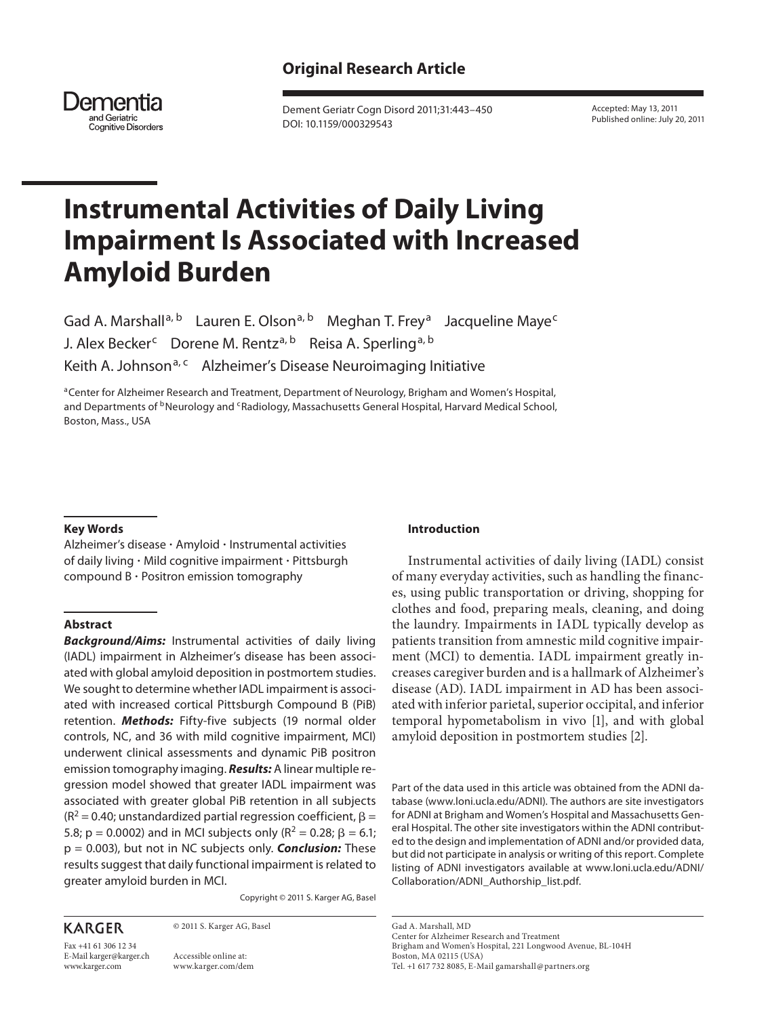# **Original Research Article**



 Dement Geriatr Cogn Disord 2011;31:443–450 DOI: 10.1159/000329543

 Accepted: May 13, 2011 Published online: July 20, 2011

# **Instrumental Activities of Daily Living Impairment Is Associated with Increased Amyloid Burden**

Gad A. Marshall<sup>a, b</sup> Lauren E. Olson<sup>a, b</sup> Meghan T. Frey<sup>a</sup> Jacqueline Maye<sup>c</sup> J. Alex Becker<sup>c</sup> Dorene M. Rentz<sup>a, b</sup> Reisa A. Sperling<sup>a, b</sup> Keith A. Johnson<sup>a, c</sup> Alzheimer's Disease Neuroimaging Initiative

a Center for Alzheimer Research and Treatment, Department of Neurology, Brigham and Women's Hospital, and Departments of <sup>b</sup>Neurology and <sup>c</sup>Radiology, Massachusetts General Hospital, Harvard Medical School, Boston, Mass., USA

# **Key Words**

 Alzheimer's disease - Amyloid - Instrumental activities of daily living - Mild cognitive impairment - Pittsburgh compound B - Positron emission tomography

## **Abstract**

*Background/Aims:* Instrumental activities of daily living (IADL) impairment in Alzheimer's disease has been associated with global amyloid deposition in postmortem studies. We sought to determine whether IADL impairment is associated with increased cortical Pittsburgh Compound B (PiB) retention. *Methods:* Fifty-five subjects (19 normal older controls, NC, and 36 with mild cognitive impairment, MCI) underwent clinical assessments and dynamic PiB positron emission tomography imaging. *Results:* A linear multiple regression model showed that greater IADL impairment was associated with greater global PiB retention in all subjects  $(R^2 = 0.40$ ; unstandardized partial regression coefficient,  $\beta =$ 5.8; p = 0.0002) and in MCI subjects only ( $R^2 = 0.28$ ;  $\beta = 6.1$ ; p = 0.003), but not in NC subjects only. *Conclusion:* These results suggest that daily functional impairment is related to greater amyloid burden in MCI.

Copyright © 2011 S. Karger AG, Basel

**KARGER** 

Fax +41 61 306 12 34 E-Mail karger@karger.ch www.karger.com

 Accessible online at: www.karger.com/dem

© 2011 S. Karger AG, Basel

# **Introduction**

 Instrumental activities of daily living (IADL) consist of many everyday activities, such as handling the finances, using public transportation or driving, shopping for clothes and food, preparing meals, cleaning, and doing the laundry. Impairments in IADL typically develop as patients transition from amnestic mild cognitive impairment (MCI) to dementia. IADL impairment greatly increases caregiver burden and is a hallmark of Alzheimer's disease (AD). IADL impairment in AD has been associated with inferior parietal, superior occipital, and inferior temporal hypometabolism in vivo [1], and with global amyloid deposition in postmortem studies [2] .

 Part of the data used in this article was obtained from the ADNI database (www.loni.ucla.edu/ADNI). The authors are site investigators for ADNI at Brigham and Women's Hospital and Massachusetts General Hospital. The other site investigators within the ADNI contributed to the design and implementation of ADNI and/or provided data, but did not participate in analysis or writing of this report. Complete listing of ADNI investigators available at www.loni.ucla.edu/ADNI/ Collaboration/ADNI\_Authorship\_list.pdf.

 Gad A. Marshall, MD Center for Alzheimer Research and Treatment Brigham and Women's Hospital, 221 Longwood Avenue, BL-104H Boston, MA 02115 (USA) Tel. +1 617 732 8085, E-Mail gamarshall @ partners.org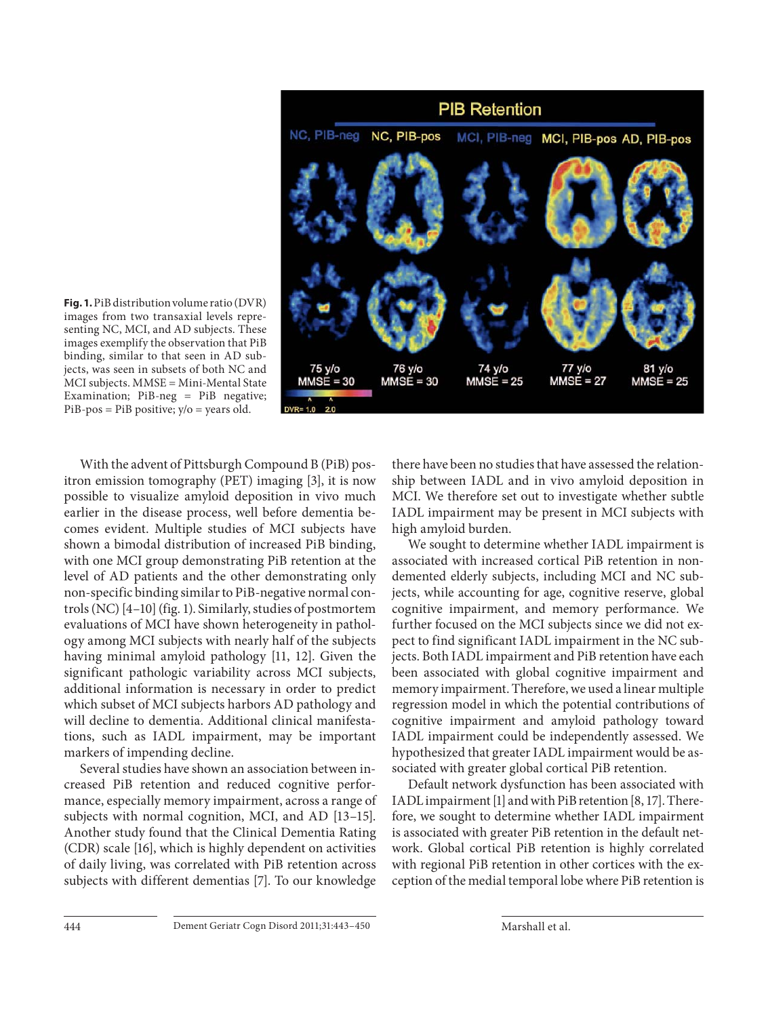

**Fig. 1.** PiB distribution volume ratio (DVR) images from two transaxial levels representing NC, MCI, and AD subjects. These images exemplify the observation that PiB binding, similar to that seen in AD subjects, was seen in subsets of both NC and MCI subjects. MMSE = Mini-Mental State Examination; PiB-neg = PiB negative;  $PiB-pos = PiB$  positive;  $y/o = years$  old.

 With the advent of Pittsburgh Compound B (PiB) positron emission tomography (PET) imaging [3], it is now possible to visualize amyloid deposition in vivo much earlier in the disease process, well before dementia becomes evident. Multiple studies of MCI subjects have shown a bimodal distribution of increased PiB binding, with one MCI group demonstrating PiB retention at the level of AD patients and the other demonstrating only non-specific binding similar to PiB-negative normal controls (NC)  $[4-10]$  (fig. 1). Similarly, studies of postmortem evaluations of MCI have shown heterogeneity in pathology among MCI subjects with nearly half of the subjects having minimal amyloid pathology [11, 12]. Given the significant pathologic variability across MCI subjects, additional information is necessary in order to predict which subset of MCI subjects harbors AD pathology and will decline to dementia. Additional clinical manifestations, such as IADL impairment, may be important markers of impending decline.

 Several studies have shown an association between increased PiB retention and reduced cognitive performance, especially memory impairment, across a range of subjects with normal cognition, MCI, and AD [13-15]. Another study found that the Clinical Dementia Rating (CDR) scale [16], which is highly dependent on activities of daily living, was correlated with PiB retention across subjects with different dementias [7]. To our knowledge

there have been no studies that have assessed the relationship between IADL and in vivo amyloid deposition in MCI. We therefore set out to investigate whether subtle IADL impairment may be present in MCI subjects with high amyloid burden.

 We sought to determine whether IADL impairment is associated with increased cortical PiB retention in nondemented elderly subjects, including MCI and NC subjects, while accounting for age, cognitive reserve, global cognitive impairment, and memory performance. We further focused on the MCI subjects since we did not expect to find significant IADL impairment in the NC subjects. Both IADL impairment and PiB retention have each been associated with global cognitive impairment and memory impairment. Therefore, we used a linear multiple regression model in which the potential contributions of cognitive impairment and amyloid pathology toward IADL impairment could be independently assessed. We hypothesized that greater IADL impairment would be associated with greater global cortical PiB retention.

 Default network dysfunction has been associated with IADL impairment [1] and with PiB retention [8, 17] . Therefore, we sought to determine whether IADL impairment is associated with greater PiB retention in the default network. Global cortical PiB retention is highly correlated with regional PiB retention in other cortices with the exception of the medial temporal lobe where PiB retention is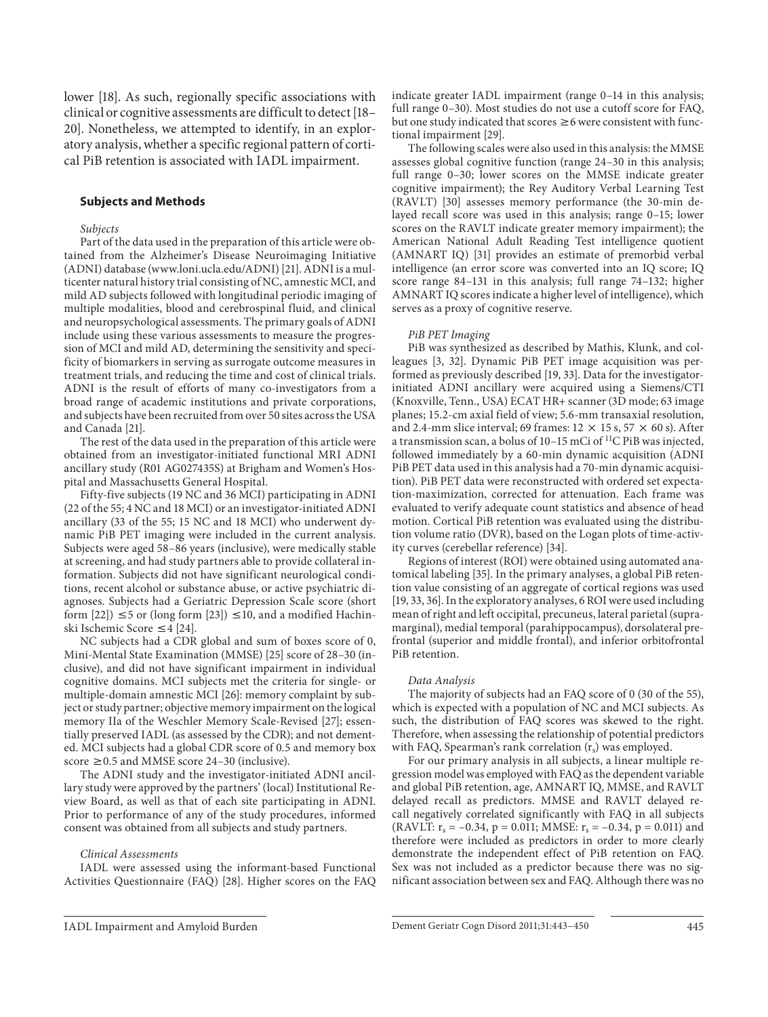lower [18]. As such, regionally specific associations with clinical or cognitive assessments are difficult to detect [18– 20]. Nonetheless, we attempted to identify, in an exploratory analysis, whether a specific regional pattern of cortical PiB retention is associated with IADL impairment.

### **Subjects and Methods**

Part of the data used in the preparation of this article were obtained from the Alzheimer's Disease Neuroimaging Initiative (ADNI) database (www.loni.ucla.edu/ADNI) [21] . ADNI is a multicenter natural history trial consisting of NC, amnestic MCI, and mild AD subjects followed with longitudinal periodic imaging of multiple modalities, blood and cerebrospinal fluid, and clinical and neuropsychological assessments. The primary goals of ADNI include using these various assessments to measure the progression of MCI and mild AD, determining the sensitivity and specificity of biomarkers in serving as surrogate outcome measures in treatment trials, and reducing the time and cost of clinical trials. ADNI is the result of efforts of many co-investigators from a broad range of academic institutions and private corporations, and subjects have been recruited from over 50 sites across the USA and Canada [21] .

 The rest of the data used in the preparation of this article were obtained from an investigator-initiated functional MRI ADNI ancillary study (R01 AG027435S) at Brigham and Women's Hospital and Massachusetts General Hospital.

 Fifty-five subjects (19 NC and 36 MCI) participating in ADNI (22 of the 55; 4 NC and 18 MCI) or an investigator-initiated ADNI ancillary (33 of the 55; 15 NC and 18 MCI) who underwent dynamic PiB PET imaging were included in the current analysis. Subjects were aged 58–86 years (inclusive), were medically stable at screening, and had study partners able to provide collateral information. Subjects did not have significant neurological conditions, recent alcohol or substance abuse, or active psychiatric diagnoses. Subjects had a Geriatric Depression Scale score (short form  $[22]$ )  $\leq$  5 or (long form  $[23]$ )  $\leq$  10, and a modified Hachinski Ischemic Score  $\leq 4$  [24].

 NC subjects had a CDR global and sum of boxes score of 0, Mini-Mental State Examination (MMSE) [25] score of 28–30 (inclusive), and did not have significant impairment in individual cognitive domains. MCI subjects met the criteria for single- or multiple-domain amnestic MCI [26]: memory complaint by subject or study partner; objective memory impairment on the logical memory IIa of the Weschler Memory Scale-Revised [27]; essentially preserved IADL (as assessed by the CDR); and not demented. MCI subjects had a global CDR score of 0.5 and memory box score  $\geq$  0.5 and MMSE score 24–30 (inclusive).

 The ADNI study and the investigator-initiated ADNI ancillary study were approved by the partners' (local) Institutional Review Board, as well as that of each site participating in ADNI. Prior to performance of any of the study procedures, informed consent was obtained from all subjects and study partners.

IADL were assessed using the informant-based Functional Activities Questionnaire (FAQ) [28] . Higher scores on the FAQ

indicate greater IADL impairment (range 0–14 in this analysis; full range 0–30). Most studies do not use a cutoff score for FAQ, but one study indicated that scores  $\geq$  6 were consistent with functional impairment [29].

 The following scales were also used in this analysis: the MMSE assesses global cognitive function (range 24–30 in this analysis; full range 0–30; lower scores on the MMSE indicate greater cognitive impairment); the Rey Auditory Verbal Learning Test (RAVLT) [30] assesses memory performance (the 30-min delayed recall score was used in this analysis; range 0–15; lower scores on the RAVLT indicate greater memory impairment); the American National Adult Reading Test intelligence quotient (AMNART IQ) [31] provides an estimate of premorbid verbal intelligence (an error score was converted into an IQ score; IQ score range 84–131 in this analysis; full range 74–132; higher AMNART IQ scores indicate a higher level of intelligence), which serves as a proxy of cognitive reserve.

PiB was synthesized as described by Mathis, Klunk, and colleagues [3, 32]. Dynamic PiB PET image acquisition was performed as previously described [19, 33]. Data for the investigatorinitiated ADNI ancillary were acquired using a Siemens/CTI (Knoxville, Tenn., USA) ECAT HR+ scanner (3D mode; 63 image planes; 15.2-cm axial field of view; 5.6-mm transaxial resolution, and 2.4-mm slice interval; 69 frames:  $12 \times 15$  s,  $57 \times 60$  s). After a transmission scan, a bolus of  $10-15$  mCi of  $^{11}$ C PiB was injected, followed immediately by a 60-min dynamic acquisition (ADNI PiB PET data used in this analysis had a 70-min dynamic acquisition). PiB PET data were reconstructed with ordered set expectation-maximization, corrected for attenuation. Each frame was evaluated to verify adequate count statistics and absence of head motion. Cortical PiB retention was evaluated using the distribution volume ratio (DVR), based on the Logan plots of time-activity curves (cerebellar reference) [34] .

 Regions of interest (ROI) were obtained using automated anatomical labeling [35] . In the primary analyses, a global PiB retention value consisting of an aggregate of cortical regions was used [19, 33, 36]. In the exploratory analyses, 6 ROI were used including mean of right and left occipital, precuneus, lateral parietal (supramarginal), medial temporal (parahippocampus), dorsolateral prefrontal (superior and middle frontal), and inferior orbitofrontal PiB retention.

The majority of subjects had an FAQ score of 0 (30 of the 55), which is expected with a population of NC and MCI subjects. As such, the distribution of FAQ scores was skewed to the right. Therefore, when assessing the relationship of potential predictors with FAQ, Spearman's rank correlation  $(r_s)$  was employed.

 For our primary analysis in all subjects, a linear multiple regression model was employed with FAQ as the dependent variable and global PiB retention, age, AMNART IQ, MMSE, and RAVLT delayed recall as predictors. MMSE and RAVLT delayed recall negatively correlated significantly with FAQ in all subjects (RAVLT:  $r_s = -0.34$ ,  $p = 0.011$ ; MMSE:  $r_s = -0.34$ ,  $p = 0.011$ ) and therefore were included as predictors in order to more clearly demonstrate the independent effect of PiB retention on FAQ. Sex was not included as a predictor because there was no significant association between sex and FAQ. Although there was no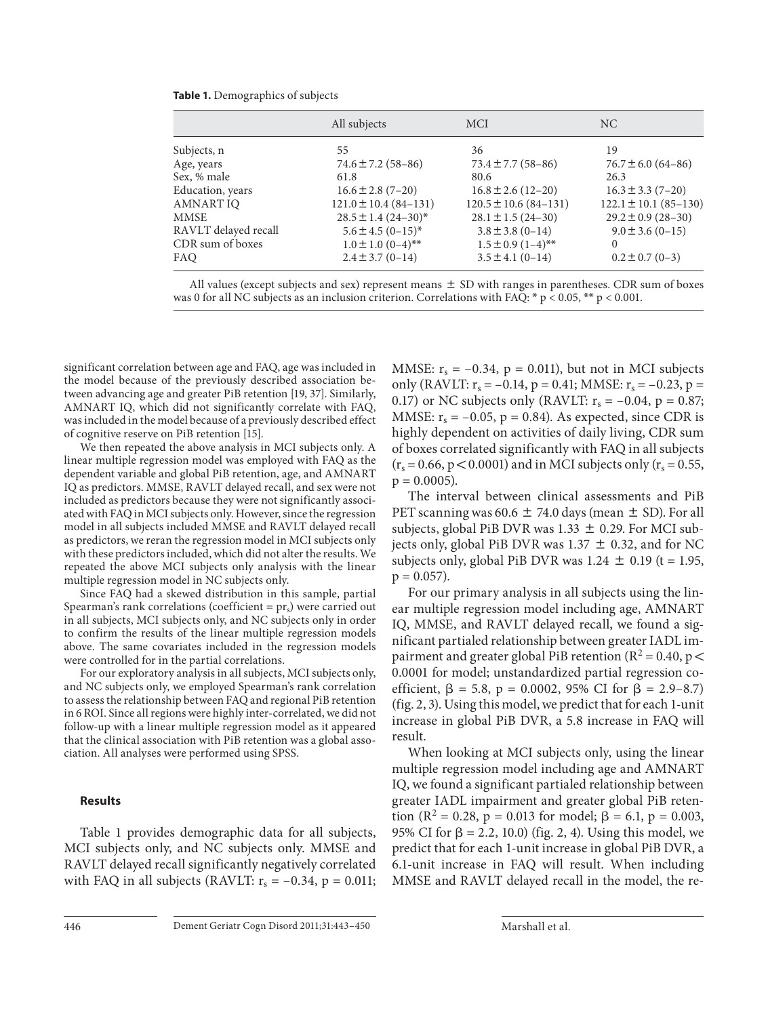|                      | All subjects                        | <b>MCI</b>                          | NC.                         |
|----------------------|-------------------------------------|-------------------------------------|-----------------------------|
| Subjects, n          | 55.                                 | 36                                  | 19                          |
| Age, years           | $74.6 \pm 7.2$ (58-86)              | $73.4 \pm 7.7$ (58-86)              | $76.7 \pm 6.0$ (64-86)      |
| Sex, % male          | 61.8                                | 80.6                                | 26.3                        |
| Education, years     | $16.6 \pm 2.8$ (7-20)               | $16.8 \pm 2.6$ (12-20)              | $16.3 \pm 3.3 (7 - 20)$     |
| AMNART IO            | $121.0 \pm 10.4 (84 - 131)$         | $120.5 \pm 10.6$ (84-131)           | $122.1 \pm 10.1 (85 - 130)$ |
| MMSE                 | $28.5 \pm 1.4$ $(24-30)^{*}$        | $28.1 \pm 1.5$ (24-30)              | $29.2 \pm 0.9$ (28-30)      |
| RAVLT delayed recall | $5.6 \pm 4.5 (0 - 15)^*$            | $3.8 \pm 3.8$ (0-14)                | $9.0 \pm 3.6$ (0-15)        |
| CDR sum of boxes     | $1.0 \pm 1.0$ $(0-4)$ <sup>**</sup> | $1.5 \pm 0.9$ $(1-4)$ <sup>**</sup> | $\Omega$                    |
| FAO                  | $2.4 \pm 3.7$ (0-14)                | $3.5 \pm 4.1$ (0-14)                | $0.2 \pm 0.7$ (0-3)         |

All values (except subjects and sex) represent means  $\pm$  SD with ranges in parentheses. CDR sum of boxes was 0 for all NC subjects as an inclusion criterion. Correlations with FAQ:  $* p < 0.05$ ,  $* p < 0.001$ .

significant correlation between age and FAQ, age was included in the model because of the previously described association between advancing age and greater PiB retention [19, 37]. Similarly, AMNART IQ, which did not significantly correlate with FAQ, was included in the model because of a previously described effect of cognitive reserve on PiB retention [15] .

 We then repeated the above analysis in MCI subjects only. A linear multiple regression model was employed with FAQ as the dependent variable and global PiB retention, age, and AMNART IQ as predictors. MMSE, RAVLT delayed recall, and sex were not included as predictors because they were not significantly associated with FAQ in MCI subjects only. However, since the regression model in all subjects included MMSE and RAVLT delayed recall as predictors, we reran the regression model in MCI subjects only with these predictors included, which did not alter the results. We repeated the above MCI subjects only analysis with the linear multiple regression model in NC subjects only.

 Since FAQ had a skewed distribution in this sample, partial Spearman's rank correlations (coefficient =  $pr_s$ ) were carried out in all subjects, MCI subjects only, and NC subjects only in order to confirm the results of the linear multiple regression models above. The same covariates included in the regression models were controlled for in the partial correlations.

 For our exploratory analysis in all subjects, MCI subjects only, and NC subjects only, we employed Spearman's rank correlation to assess the relationship between FAQ and regional PiB retention in 6 ROI. Since all regions were highly inter-correlated, we did not follow-up with a linear multiple regression model as it appeared that the clinical association with PiB retention was a global association. All analyses were performed using SPSS.

# **Results**

 Table 1 provides demographic data for all subjects, MCI subjects only, and NC subjects only. MMSE and RAVLT delayed recall significantly negatively correlated with FAQ in all subjects (RAVLT:  $r_s = -0.34$ ,  $p = 0.011$ ; MMSE:  $r_s = -0.34$ ,  $p = 0.011$ ), but not in MCI subjects only (RAVLT:  $r_s = -0.14$ ,  $p = 0.41$ ; MMSE:  $r_s = -0.23$ ,  $p =$ 0.17) or NC subjects only (RAVLT:  $r_s = -0.04$ ,  $p = 0.87$ ; MMSE:  $r_s = -0.05$ ,  $p = 0.84$ ). As expected, since CDR is highly dependent on activities of daily living, CDR sum of boxes correlated significantly with FAQ in all subjects  $(r_s = 0.66, p < 0.0001)$  and in MCI subjects only  $(r_s = 0.55,$  $p = 0.0005$ ).

 The interval between clinical assessments and PiB PET scanning was 60.6  $\pm$  74.0 days (mean  $\pm$  SD). For all subjects, global PiB DVR was  $1.33 \pm 0.29$ . For MCI subjects only, global PiB DVR was 1.37  $\pm$  0.32, and for NC subjects only, global PiB DVR was  $1.24 \pm 0.19$  (t = 1.95,  $p = 0.057$ ).

 For our primary analysis in all subjects using the linear multiple regression model including age, AMNART IQ, MMSE, and RAVLT delayed recall, we found a significant partialed relationship between greater IADL impairment and greater global PiB retention ( $R^2 = 0.40$ , p < 0.0001 for model; unstandardized partial regression coefficient,  $\beta = 5.8$ ,  $p = 0.0002$ , 95% CI for  $\beta = 2.9 - 8.7$ ) (fig.  $2$ ,  $3$ ). Using this model, we predict that for each 1-unit increase in global PiB DVR, a 5.8 increase in FAQ will result.

 When looking at MCI subjects only, using the linear multiple regression model including age and AMNART IQ, we found a significant partialed relationship between greater IADL impairment and greater global PiB retention ( $\mathbb{R}^2 = 0.28$ ,  $p = 0.013$  for model;  $\beta = 6.1$ ,  $p = 0.003$ , 95% CI for  $β = 2.2, 10.0)$  (fig. 2, 4). Using this model, we predict that for each 1-unit increase in global PiB DVR, a 6.1-unit increase in FAQ will result. When including MMSE and RAVLT delayed recall in the model, the re-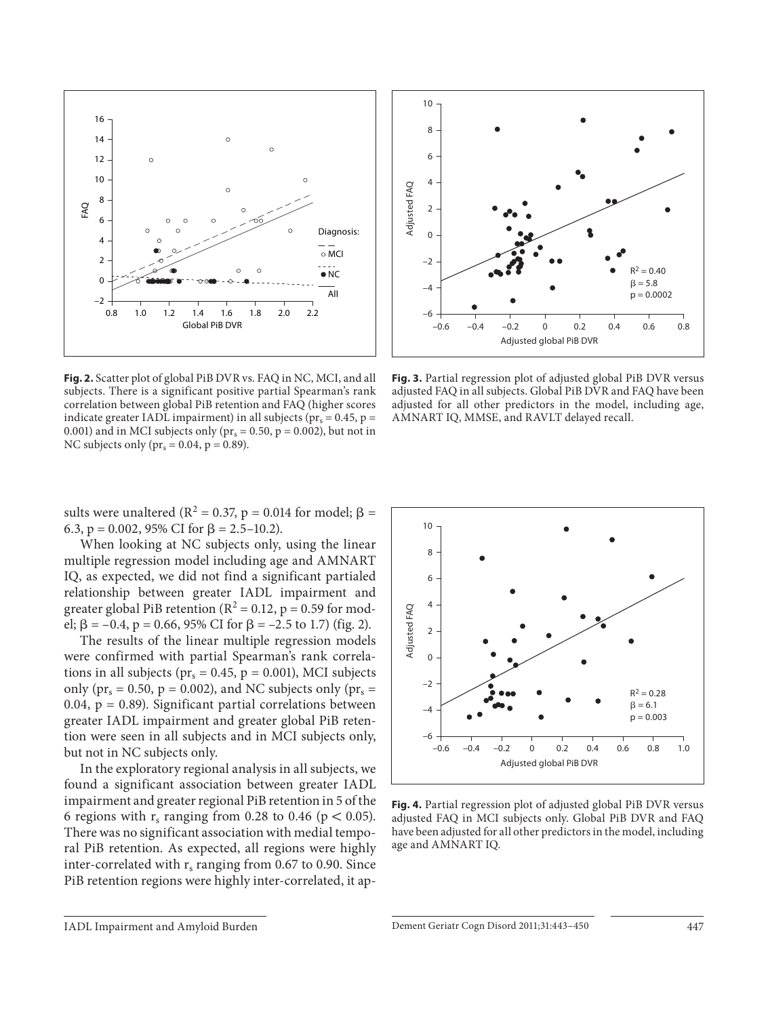

**Fig. 2.** Scatter plot of global PiB DVR vs. FAQ in NC, MCI, and all subjects. There is a significant positive partial Spearman's rank correlation between global PiB retention and FAQ (higher scores indicate greater IADL impairment) in all subjects ( $pr_s = 0.45$ ,  $p =$ 0.001) and in MCI subjects only ( $pr_s = 0.50$ ,  $p = 0.002$ ), but not in NC subjects only ( $pr_s = 0.04$ ,  $p = 0.89$ ).



**Fig. 3.** Partial regression plot of adjusted global PiB DVR versus adjusted FAQ in all subjects. Global PiB DVR and FAQ have been adjusted for all other predictors in the model, including age, AMNART IQ, MMSE, and RAVLT delayed recall.

sults were unaltered ( $R^2 = 0.37$ ,  $p = 0.014$  for model;  $\beta =$ 6.3,  $p = 0.002$ , 95% CI for  $\beta = 2.5 - 10.2$ ).

 When looking at NC subjects only, using the linear multiple regression model including age and AMNART IQ, as expected, we did not find a significant partialed relationship between greater IADL impairment and greater global PiB retention ( $R^2 = 0.12$ ,  $p = 0.59$  for model;  $\beta = -0.4$ ,  $p = 0.66$ , 95% CI for  $\beta = -2.5$  to 1.7) (fig. 2).

 The results of the linear multiple regression models were confirmed with partial Spearman's rank correlations in all subjects ( $pr_s = 0.45$ ,  $p = 0.001$ ), MCI subjects only ( $pr_s = 0.50$ ,  $p = 0.002$ ), and NC subjects only ( $pr_s =$ 0.04,  $p = 0.89$ ). Significant partial correlations between greater IADL impairment and greater global PiB retention were seen in all subjects and in MCI subjects only, but not in NC subjects only.

 In the exploratory regional analysis in all subjects, we found a significant association between greater IADL impairment and greater regional PiB retention in 5 of the 6 regions with  $r_s$  ranging from 0.28 to 0.46 ( $p < 0.05$ ). There was no significant association with medial temporal PiB retention. As expected, all regions were highly inter-correlated with  $r_s$  ranging from 0.67 to 0.90. Since PiB retention regions were highly inter-correlated, it ap-



**Fig. 4.** Partial regression plot of adjusted global PiB DVR versus adjusted FAQ in MCI subjects only. Global PiB DVR and FAQ have been adjusted for all other predictors in the model, including age and AMNART IQ.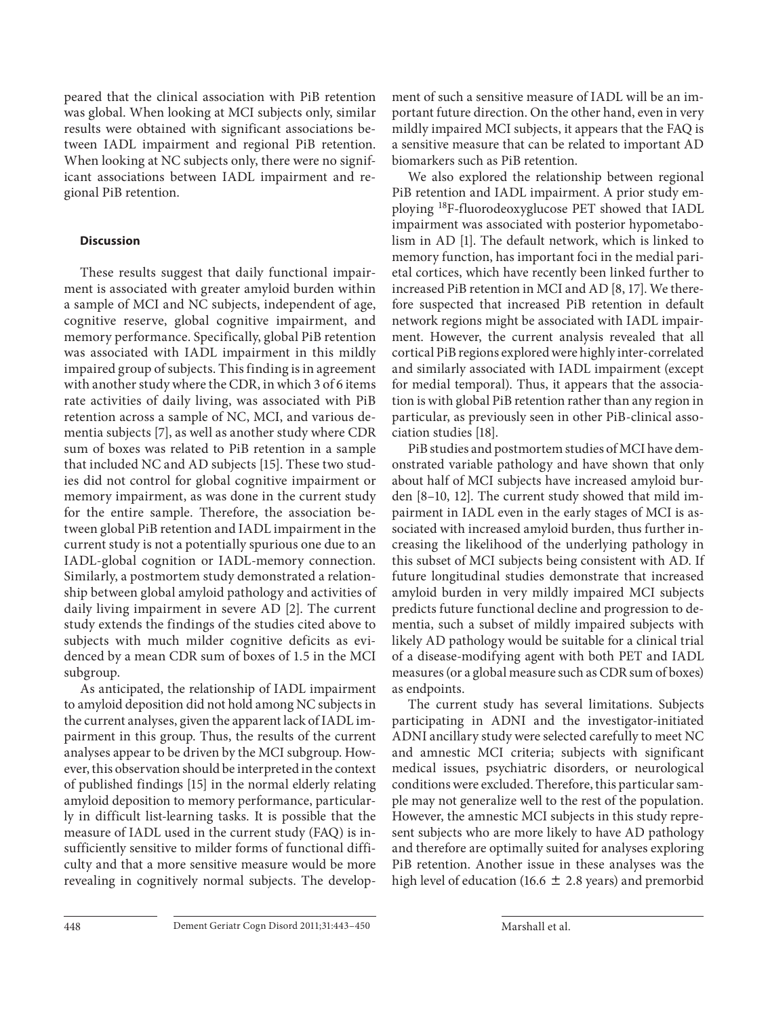peared that the clinical association with PiB retention was global. When looking at MCI subjects only, similar results were obtained with significant associations between IADL impairment and regional PiB retention. When looking at NC subjects only, there were no significant associations between IADL impairment and regional PiB retention.

# **Discussion**

 These results suggest that daily functional impairment is associated with greater amyloid burden within a sample of MCI and NC subjects, independent of age, cognitive reserve, global cognitive impairment, and memory performance. Specifically, global PiB retention was associated with IADL impairment in this mildly impaired group of subjects. This finding is in agreement with another study where the CDR, in which 3 of 6 items rate activities of daily living, was associated with PiB retention across a sample of NC, MCI, and various dementia subjects [7], as well as another study where CDR sum of boxes was related to PiB retention in a sample that included NC and AD subjects [15]. These two studies did not control for global cognitive impairment or memory impairment, as was done in the current study for the entire sample. Therefore, the association between global PiB retention and IADL impairment in the current study is not a potentially spurious one due to an IADL-global cognition or IADL-memory connection. Similarly, a postmortem study demonstrated a relationship between global amyloid pathology and activities of daily living impairment in severe AD [2]. The current study extends the findings of the studies cited above to subjects with much milder cognitive deficits as evidenced by a mean CDR sum of boxes of 1.5 in the MCI subgroup.

 As anticipated, the relationship of IADL impairment to amyloid deposition did not hold among NC subjects in the current analyses, given the apparent lack of IADL impairment in this group. Thus, the results of the current analyses appear to be driven by the MCI subgroup. However, this observation should be interpreted in the context of published findings [15] in the normal elderly relating amyloid deposition to memory performance, particularly in difficult list-learning tasks. It is possible that the measure of IADL used in the current study (FAQ) is insufficiently sensitive to milder forms of functional difficulty and that a more sensitive measure would be more revealing in cognitively normal subjects. The development of such a sensitive measure of IADL will be an important future direction. On the other hand, even in very mildly impaired MCI subjects, it appears that the FAQ is a sensitive measure that can be related to important AD biomarkers such as PiB retention.

 We also explored the relationship between regional PiB retention and IADL impairment. A prior study employing <sup>18</sup>F-fluorodeoxyglucose PET showed that IADL impairment was associated with posterior hypometabolism in AD [1]. The default network, which is linked to memory function, has important foci in the medial parietal cortices, which have recently been linked further to increased PiB retention in MCI and AD [8, 17] . We therefore suspected that increased PiB retention in default network regions might be associated with IADL impairment. However, the current analysis revealed that all cortical PiB regions explored were highly inter-correlated and similarly associated with IADL impairment (except for medial temporal). Thus, it appears that the association is with global PiB retention rather than any region in particular, as previously seen in other PiB-clinical association studies [18].

 PiB studies and postmortem studies of MCI have demonstrated variable pathology and have shown that only about half of MCI subjects have increased amyloid burden [8–10, 12]. The current study showed that mild impairment in IADL even in the early stages of MCI is associated with increased amyloid burden, thus further increasing the likelihood of the underlying pathology in this subset of MCI subjects being consistent with AD. If future longitudinal studies demonstrate that increased amyloid burden in very mildly impaired MCI subjects predicts future functional decline and progression to dementia, such a subset of mildly impaired subjects with likely AD pathology would be suitable for a clinical trial of a disease-modifying agent with both PET and IADL measures (or a global measure such as CDR sum of boxes) as endpoints.

 The current study has several limitations. Subjects participating in ADNI and the investigator-initiated ADNI ancillary study were selected carefully to meet NC and amnestic MCI criteria; subjects with significant medical issues, psychiatric disorders, or neurological conditions were excluded. Therefore, this particular sample may not generalize well to the rest of the population. However, the amnestic MCI subjects in this study represent subjects who are more likely to have AD pathology and therefore are optimally suited for analyses exploring PiB retention. Another issue in these analyses was the high level of education (16.6  $\pm$  2.8 years) and premorbid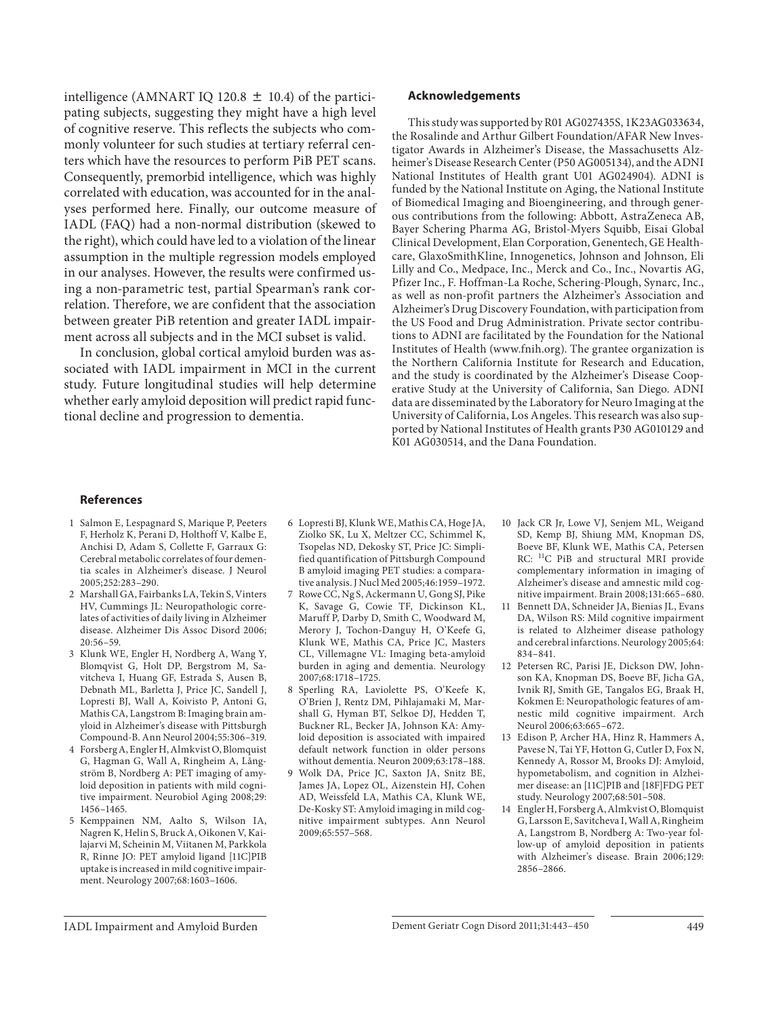intelligence (AMNART IQ 120.8  $\pm$  10.4) of the participating subjects, suggesting they might have a high level of cognitive reserve. This reflects the subjects who commonly volunteer for such studies at tertiary referral centers which have the resources to perform PiB PET scans. Consequently, premorbid intelligence, which was highly correlated with education, was accounted for in the analyses performed here. Finally, our outcome measure of IADL (FAQ) had a non-normal distribution (skewed to the right), which could have led to a violation of the linear assumption in the multiple regression models employed in our analyses. However, the results were confirmed using a non-parametric test, partial Spearman's rank correlation. Therefore, we are confident that the association between greater PiB retention and greater IADL impairment across all subjects and in the MCI subset is valid.

 In conclusion, global cortical amyloid burden was associated with IADL impairment in MCI in the current study. Future longitudinal studies will help determine whether early amyloid deposition will predict rapid functional decline and progression to dementia.

### **Acknowledgements**

 This study was supported by R01 AG027435S, 1K23AG033634, the Rosalinde and Arthur Gilbert Foundation/AFAR New Investigator Awards in Alzheimer's Disease, the Massachusetts Alzheimer's Disease Research Center (P50 AG005134), and the ADNI National Institutes of Health grant U01 AG024904). ADNI is funded by the National Institute on Aging, the National Institute of Biomedical Imaging and Bioengineering, and through generous contributions from the following: Abbott, AstraZeneca AB, Bayer Schering Pharma AG, Bristol-Myers Squibb, Eisai Global Clinical Development, Elan Corporation, Genentech, GE Healthcare, GlaxoSmithKline, Innogenetics, Johnson and Johnson, Eli Lilly and Co., Medpace, Inc., Merck and Co., Inc., Novartis AG, Pfizer Inc., F. Hoffman-La Roche, Schering-Plough, Synarc, Inc., as well as non-profit partners the Alzheimer's Association and Alzheimer's Drug Discovery Foundation, with participation from the US Food and Drug Administration. Private sector contributions to ADNI are facilitated by the Foundation for the National Institutes of Health (www.fnih.org). The grantee organization is the Northern California Institute for Research and Education, and the study is coordinated by the Alzheimer's Disease Cooperative Study at the University of California, San Diego. ADNI data are disseminated by the Laboratory for Neuro Imaging at the University of California, Los Angeles. This research was also supported by National Institutes of Health grants P30 AG010129 and K01 AG030514, and the Dana Foundation.

### **References**

- 1 Salmon E, Lespagnard S, Marique P, Peeters F, Herholz K, Perani D, Holthoff V, Kalbe E, Anchisi D, Adam S, Collette F, Garraux G: Cerebral metabolic correlates of four dementia scales in Alzheimer's disease. J Neurol 2005;252:283–290.
- 2 Marshall GA, Fairbanks LA, Tekin S, Vinters HV, Cummings JL: Neuropathologic correlates of activities of daily living in Alzheimer disease. Alzheimer Dis Assoc Disord 2006;  $20.56 - 59$
- 3 Klunk WE, Engler H, Nordberg A, Wang Y, Blomqvist G, Holt DP, Bergstrom M, Savitcheva I, Huang GF, Estrada S, Ausen B, Debnath ML, Barletta J, Price JC, Sandell J, Lopresti BJ, Wall A, Koivisto P, Antoni G, Mathis CA, Langstrom B: Imaging brain amyloid in Alzheimer's disease with Pittsburgh Compound-B. Ann Neurol 2004;55:306–319.
- 4 Forsberg A, Engler H, Almkvist O, Blomquist G, Hagman G, Wall A, Ringheim A, Långström B, Nordberg A: PET imaging of amyloid deposition in patients with mild cognitive impairment. Neurobiol Aging 2008;29: 1456–1465.
- 5 Kemppainen NM, Aalto S, Wilson IA, Nagren K, Helin S, Bruck A, Oikonen V, Kailajarvi M, Scheinin M, Viitanen M, Parkkola R, Rinne JO: PET amyloid ligand [11C]PIB uptake is increased in mild cognitive impairment. Neurology 2007;68:1603–1606.
- 6 Lopresti BJ, Klunk WE, Mathis CA, Hoge JA, Ziolko SK, Lu X, Meltzer CC, Schimmel K, Tsopelas ND, Dekosky ST, Price JC: Simplified quantification of Pittsburgh Compound B amyloid imaging PET studies: a comparative analysis. J Nucl Med 2005;46:1959–1972.
- 7 Rowe CC, Ng S, Ackermann U, Gong SJ, Pike K, Savage G, Cowie TF, Dickinson KL, Maruff P, Darby D, Smith C, Woodward M, Merory J, Tochon-Danguy H, O'Keefe G, Klunk WE, Mathis CA, Price JC, Masters CL, Villemagne VL: Imaging beta-amyloid burden in aging and dementia. Neurology 2007;68:1718–1725.
- 8 Sperling RA, Laviolette PS, O'Keefe K, O'Brien J, Rentz DM, Pihlajamaki M, Marshall G, Hyman BT, Selkoe DJ, Hedden T, Buckner RL, Becker JA, Johnson KA: Amyloid deposition is associated with impaired default network function in older persons without dementia. Neuron 2009;63:178–188.
- 9 Wolk DA, Price JC, Saxton JA, Snitz BE, James JA, Lopez OL, Aizenstein HJ, Cohen AD, Weissfeld LA, Mathis CA, Klunk WE, De-Kosky ST: Amyloid imaging in mild cognitive impairment subtypes. Ann Neurol 2009;65:557–568.
- 10 Jack CR Jr, Lowe VJ, Senjem ML, Weigand SD, Kemp BJ, Shiung MM, Knopman DS, Boeve BF, Klunk WE, Mathis CA, Petersen RC: <sup>11</sup>C PiB and structural MRI provide complementary information in imaging of Alzheimer's disease and amnestic mild cognitive impairment. Brain 2008;131:665–680.
- 11 Bennett DA, Schneider JA, Bienias JL, Evans DA, Wilson RS: Mild cognitive impairment is related to Alzheimer disease pathology and cerebral infarctions. Neurology 2005;64: 834–841.
- 12 Petersen RC, Parisi JE, Dickson DW, Johnson KA, Knopman DS, Boeve BF, Jicha GA, Ivnik RJ, Smith GE, Tangalos EG, Braak H, Kokmen E: Neuropathologic features of amnestic mild cognitive impairment. Arch Neurol 2006;63:665–672.
- 13 Edison P, Archer HA, Hinz R, Hammers A, Pavese N, Tai YF, Hotton G, Cutler D, Fox N, Kennedy A, Rossor M, Brooks DJ: Amyloid, hypometabolism, and cognition in Alzheimer disease: an [11C]PIB and [18F]FDG PET study. Neurology 2007;68:501–508.
- 14 Engler H, Forsberg A, Almkvist O, Blomquist G, Larsson E, Savitcheva I, Wall A, Ringheim A, Langstrom B, Nordberg A: Two-year follow-up of amyloid deposition in patients with Alzheimer's disease. Brain 2006;129: 2856–2866.